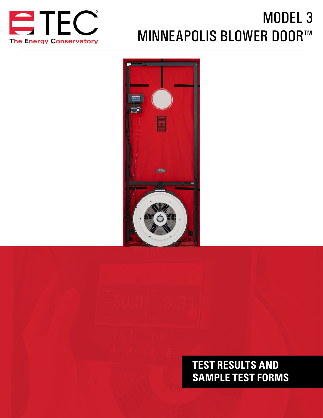

# MODEL 3 MINNEAPOLIS BLOWER DOOR™



# **TEST RESULTS AND SAMPLE TEST FORMS**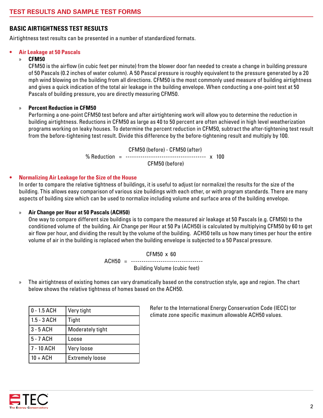#### **BASIC AIRTIGHTNESS TEST RESULTS**

Airtightness test results can be presented in a number of standardized formats.

#### **• Air Leakage at 50 Pascals**

#### » **CFM50**

CFM50 is the airflow (in cubic feet per minute) from the blower door fan needed to create a change in building pressure of 50 Pascals (0.2 inches of water column). A 50 Pascal pressure is roughly equivalent to the pressure generated by a 20 mph wind blowing on the building from all directions. CFM50 is the most commonly used measure of building airtightness and gives a quick indication of the total air leakage in the building envelope. When conducting a one-point test at 50 Pascals of building pressure, you are directly measuring CFM50.

#### » **Percent Reduction in CFM50**

Performing a one-point CFM50 test before and after airtightening work will allow you to determine the reduction in building airtightness. Reductions in CFM50 as large as 40 to 50 percent are often achieved in high level weatherization programs working on leaky houses. To determine the percent reduction in CFM50, subtract the after-tightening test result from the before-tightening test result. Divide this difference by the before-tightening result and multiply by 100.

> CFM50 (before) - CFM50 (after) % Reduction = -------------------------------------- x 100 CFM50 (before)

#### **• Normalizing Air Leakage for the Size of the House**

In order to compare the relative tightness of buildings, it is useful to adjust (or normalize) the results for the size of the building. This allows easy comparison of various size buildings with each other, or with program standards. There are many aspects of building size which can be used to normalize including volume and surface area of the building envelope.

#### » **Air Change per Hour at 50 Pascals (ACH50)**

One way to compare different size buildings is to compare the measured air leakage at 50 Pascals (e.g. CFM50) to the conditioned volume of the building. Air Change per Hour at 50 Pa (ACH50) is calculated by multiplying CFM50 by 60 to get air flow per hour, and dividing the result by the volume of the building. ACH50 tells us how many times per hour the entire volume of air in the building is replaced when the building envelope is subjected to a 50 Pascal pressure.

> CFM50 x 60 ACH50 = ----------------------------------Building Volume (cubic feet)

» The airtightness of existing homes can vary dramatically based on the construction style, age and region. The chart below shows the relative tightness of homes based on the ACH50.

| $0 - 1.5$ ACH | Very tight             |
|---------------|------------------------|
| $1.5 - 3$ ACH | Tight                  |
| $3 - 5$ ACH   | Moderately tight       |
| 5 - 7 ACH     | Loose                  |
| 7 - 10 ACH    | Very loose             |
| $10 + ACH$    | <b>Extremely loose</b> |

Refer to the International Energy Conservation Code (IECC) tor climate zone specific maximum allowable ACH50 values.

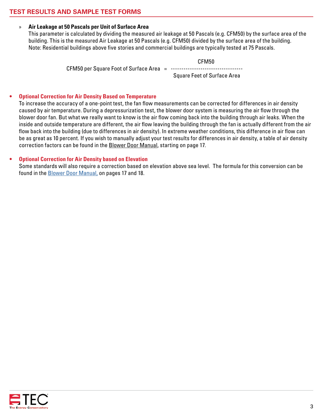#### » **Air Leakage at 50 Pascals per Unit of Surface Area**

This parameter is calculated by dividing the measured air leakage at 50 Pascals (e.g. CFM50) by the surface area of the building. This is the measured Air Leakage at 50 Pascals (e.g. CFM50) divided by the surface area of the building. Note: Residential buildings above five stories and commercial buildings are typically tested at 75 Pascals.

CFM50

CFM50 per Square Foot of Surface Area  $=$ 

Square Feet of Surface Area

#### **• Optional Correction for Air Density Based on Temperature**

To increase the accuracy of a one-point test, the fan flow measurements can be corrected for differences in air density caused by air temperature. During a depressurization test, the blower door system is measuring the air flow through the blower door fan. But what we really want to know is the air flow coming back into the building through air leaks. When the inside and outside temperature are different, the air flow leaving the building through the fan is actually different from the air flow back into the building (due to differences in air density). In extreme weather conditions, this difference in air flow can be as great as 10 percent. If you wish to manually adjust your test results for differences in air density, a table of air density correction factors can be found in the Blower Door Manual, starting on page 17.

#### **• Optional Correction for Air Density based on Elevation**

Some standards will also require a correction based on elevation above sea level. The formula for this conversion can be found in the [Blower Door Manual](http://energyconservatory.com/wp-content/uploads/2017/08/Blower-Door-Manual.pdf), on pages 17 and 18.

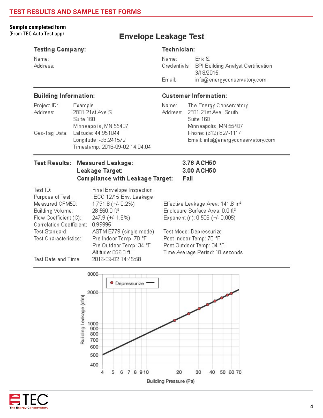#### **Sample completed form**

(From TEC Auto Test app)

Name:

Address:

### **Envelope Leakage Test**

### **Testing Company:**

Technician:

Name: Erik S. Credentials: BPI Building Analyst Certification 3/18/2015. Fmail: info@energyconservatory.com

#### **Building Information:**

| Project ID:   | Example                        |
|---------------|--------------------------------|
| Address:      | 2801 21st Ave S                |
|               | Suite 160                      |
|               | Minneapolis, MN 55407          |
| Geo-Tag Data: | Latitude: 44.951044            |
|               | Longitude: -93.241572          |
|               | Timestamp: 2016-09-02 14:04:04 |

#### **Customer Information:**

3.76 ACH50

3.00 ACH50

Fail

Name: The Energy Conservatory Address: 2801 21st Ave. South Suite 160 Minneapolis, MN 55407 Phone: (612) 827-1117 Email: info@energyconservatory.com

#### Test Results: Measured Leakage: Leakage Target: Compliance with Leakage Target:

| Test ID:                        | Final Envelope Inspection |                                               |
|---------------------------------|---------------------------|-----------------------------------------------|
| Purpose of Test:                | IECC 12/15 Env. Leakage   |                                               |
| Measured CFM50:                 | 1,791.8 (+4-0.2%)         | Effective Leakage Area: 141.8 in <sup>2</sup> |
| Building Volume:                | 28,560.0 ft <sup>3</sup>  | Enclosure Surface Area: 0.0 ft <sup>2</sup>   |
| Flow Coefficient (C):           | 247.9 (+/- 1.8%)          | Exponent (n): 0.506 (+/- 0.005)               |
| <b>Correlation Coefficient:</b> | 0.99995                   |                                               |
| Test Standard:                  | ASTM E779 (single mode)   | Test Mode: Depressurize                       |
| Test Characteristics:           | Pre Indoor Temp: 70 °F    | Post Indoor Temp: 70 °F                       |
|                                 | Pre Outdoor Temp: 34 °F   | Post Outdoor Temp: 34 °F                      |
|                                 | Altitude: 856.0 ft        | Time Average Period: 10 seconds               |
| Test Date and Time:             | 2016-09-02 14:45:58       |                                               |



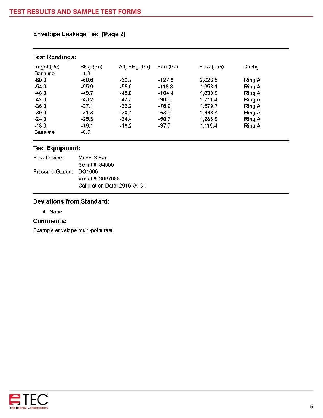| <b>Test Readings:</b> |             |               |                 |                   |        |
|-----------------------|-------------|---------------|-----------------|-------------------|--------|
| Target (Pa)           | $Bldg$ (Pa) | Adj Bldg (Pa) | <u>Fan (Pa)</u> | <u>Flow (cfm)</u> | Config |
| <b>Baseline</b>       | $-1.3$      |               |                 |                   |        |
| $-60.0$               | $-60.6$     | $-59.7$       | $-127.8$        | 2,023.5           | Ring A |
| $-54.0$               | $-55.9$     | $-55.0$       | $-118.8$        | 1,953.1           | Ring A |
| $-48.0$               | $-49.7$     | -48.8         | $-104.4$        | 1,833.5           | Ring A |
| $-42.0$               | $-43.2$     | $-42.3$       | $-90.6$         | 1,711.4           | Ring A |
| $-36.0$               | $-37.1$     | $-36.2$       | -76.9           | 1,579.7           | Ring A |
| $-30.0$               | $-31.3$     | $-30.4$       | $-63.9$         | 1,443.4           | Ring A |
| $-24.0$               | $-25.3$     | $-24.4$       | $-50.7$         | 1,288.9           | Ring A |
| $-18.0$               | $-19.1$     | $-18.2$       | $-37.7$         | 1,115.4           | Ring A |
| <b>Baseline</b>       | $-0.5$      |               |                 |                   |        |

#### **Envelope Leakage Test (Page 2)**

#### **Test Equipment:**

| Flow Device:           | Model 3 Fan                  |
|------------------------|------------------------------|
|                        | Serial #: 34655              |
| Pressure Gauge: DG1000 |                              |
|                        | Serial #: 3007058            |
|                        | Calibration Date: 2016-04-01 |
|                        |                              |

#### **Deviations from Standard:**

• None

#### **Comments:**

Example envelope multi-point test.

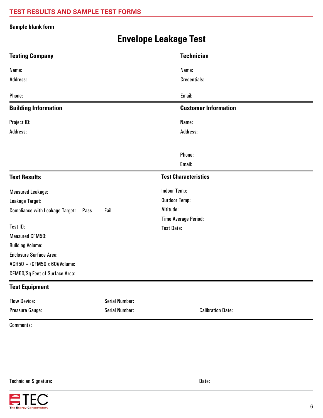#### **Sample blank form**

## **Envelope Leakage Test**

| <b>Testing Company</b>                         |                       | <b>Technician</b>           |
|------------------------------------------------|-----------------------|-----------------------------|
| Name:                                          |                       | Name:                       |
| Address:                                       |                       | <b>Credentials:</b>         |
| Phone:                                         |                       | Email:                      |
| <b>Building Information</b>                    |                       | <b>Customer Information</b> |
| Project ID:                                    |                       | Name:                       |
| Address:                                       |                       | Address:                    |
|                                                |                       |                             |
|                                                |                       | Phone:                      |
|                                                |                       | Email:                      |
| <b>Test Results</b>                            |                       | <b>Test Characteristics</b> |
| <b>Measured Leakage:</b>                       |                       | <b>Indoor Temp:</b>         |
| Leakage Target:                                |                       | <b>Outdoor Temp:</b>        |
| <b>Compliance with Leakage Target:</b><br>Pass | Fail                  | Altitude:                   |
|                                                |                       | <b>Time Average Period:</b> |
| Test ID:                                       |                       | <b>Test Date:</b>           |
| <b>Measured CFM50:</b>                         |                       |                             |
| <b>Building Volume:</b>                        |                       |                             |
| <b>Enclosure Surface Area:</b>                 |                       |                             |
| $ACH50 = (CFM50 \times 60)/Volume$             |                       |                             |
| CFM50/Sq Feet of Surface Area:                 |                       |                             |
| <b>Test Equipment</b>                          |                       |                             |
| <b>Flow Device:</b>                            | <b>Serial Number:</b> |                             |
| Pressure Gauge:                                | <b>Serial Number:</b> | <b>Calibration Date:</b>    |

Comments: